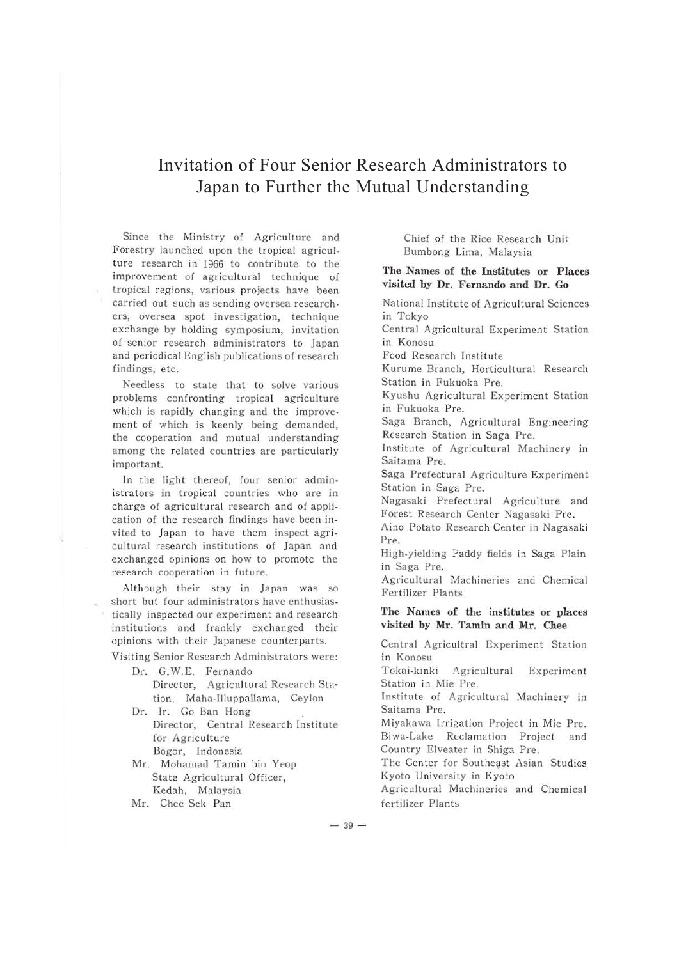## Invitation of Four Senior Research Administrators to Japan to Further the Mutual Understanding

Since the Ministry of Agriculture and Forestry launched upon the tropical agriculture research in 1966 to contribute to the improvement of agricultural technique of tropical regions, various projects have been carried out such as sending oversea researchers, oversea spot investigation, technique exchange by holding symposium, invitation of senior research administrators to Japan and periodical English publications of research findings, etc.

Needless to state that to solve various problems confronting tropical agriculture which is rapidly changing and the improvement of which is keenly being demanded, the cooperation and mutual understanding among the related countries are particularly important.

In the light thereof, four senior administrators in tropical countries who are in charge of agricultural research and of application of the research findings have been invited to Japan to have them inspect agricultural research institutions of Japan and exchanged opinions on how to promote the research cooperation in future.

Although their stay in Japan was so short but four administrators have enthusiastically inspected our experiment and research institutions and frankly exchanged their opinions with their Japanese counterparts.

Visiting Senior Research Administrators were:

Dr. G. W.E. Fernando Director, Agricultural Research Sta· tion, Maha-llluppallama, Ceylon

Dr. Ir. Go Ban Hong Director, Central Research Institute for Agriculture Bogor, Indonesia

Mr. Mohamad Tamin bin Yeop State Agricultural Officer, Kedah, Malaysia

Mr. Chee Sek Pan

Chief of the Rice Research Unit Bumbong Lima, Malaysia

## **The Names of the Institutes or Places visited by Dr. Fernando and Dr. Go**

National Institute of Agricultural Sciences in Tokyo Central Agricultural Experiment Station in Konosu Food Research Institute Kurume Branch, Horticultural Research Station in Fukuoka Pre. Kyushu Agricultural Experiment Station in Fukuoka Pre. Saga Branch, Agricultural Engineering Research Station in Saga Pre. Institute of Agricultural Machinery in Saitama Pre. Saga Prefectural Agriculture Experiment Station in Saga Pre. Nagasaki Prefectural Agriculture and Forest Research Center Nagasaki Pre. Aino Potato Research Center in Nagasaki Pre. High-yielding Paddy fields in Saga Plain in Saga Pre. Agricultural Machineries and Chemical Fertilizer Plants **'fhe Names of the institutes or places visited by Mr. Tamin and Mr. Chee**  Central Agricultral Experiment Station in Konosu Tokai-kinki Agricultural Experiment Station in Mie Pre. Institute of Agricultural Machinery in Saitama Pre. Miyakawa Irrigation Project in Mie Pre. Biwa-Lake Reclamation Project and Country Elveater in Shiga Pre. The Center for Southeast Asian Studies Kyoto University in Kyoto

Agricultural Machineries and Chemical fertilizer Plants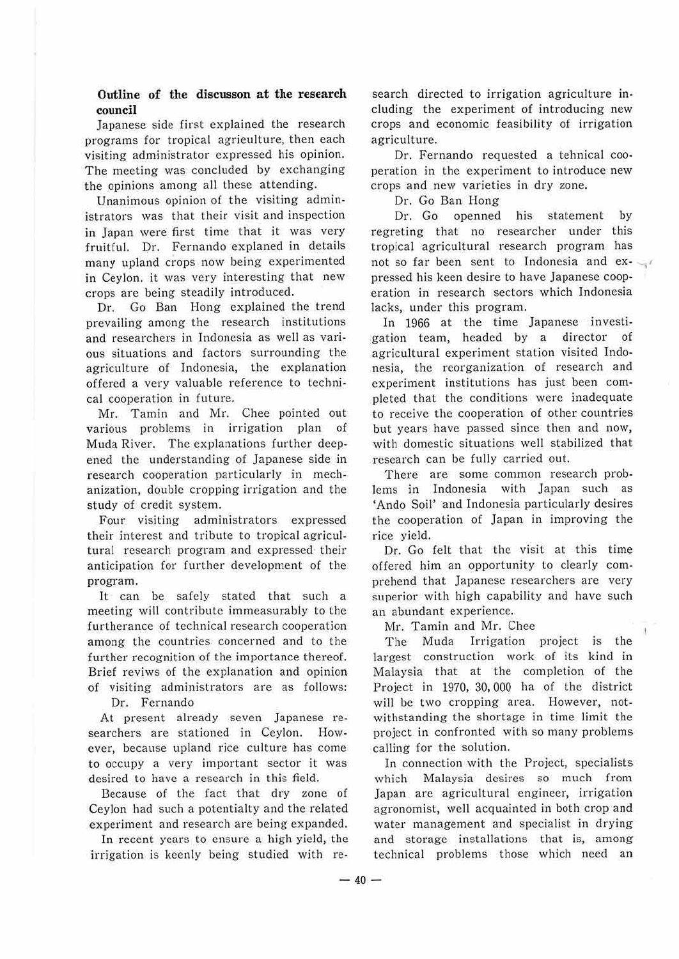## **Outline of the discusson at the research council**

Japanese side first explained the research programs for tropical agrieulture, then each visiting administrator expressed his opinion. The meeting was concluded by exchanging the opinions among all these attending.

Unanimous opinion of the visiting administrators was that their visit and inspection in Japan were first time that it was very fruitful. Pr. Fernando explaned in details many upland crops now being experimented in Ceylon. it was very interesting that new crops are being steadily introduced.

Dr. Go Ban Hong explained the trend prevailing among the research institutions and researchers in Indonesia as well as various situations and factors surrounding the agriculture of Indonesia, the explanation offered a very valuable reference to technical cooperation in future.

Mr. Tamin and Mr. Chee pointed out various problems in irrigation plan of Muda River. The explanations further deepened the understanding of Japanese side in research cooperation particularly in mechanization, double cropping irrigation and the study of credit system.

Four visiting administrators expressed their interest and tribute to tropical agricultural research program and expressed· their anticipation for further development of the program.

It can be safely stated that such a meeting will contribute immeasurably to the furtherance of technical research cooperation among the countries concerned and to the further recognition of the importance thereof. Brief reviws of the explanation and opinion of visiting administrators are as follows: Dr. Fernando

At present already seven Japanese researchers are stationed in Ceylon. However, because upland rice culture has come to occupy a very important sector it was desired to have a research in this field.

Because of the fact that dry zone of Ceylon had such a potentialty and the related experiment and research are being expanded.

In recent years to ensure a high yield, the irrigation is keenly being studied with re-

search directed to irrigation agriculture including the experiment of introducing new crops and economic feasibility of irrigation agriculture.

Dr. Fernando requested a tehnical cooperation in the experiment to introduce new crops and new varieties in dry zone.

Dr. Go Ban Hong

Dr. Go openned his statement by regreting that no researcher under this tropical agricultural research program has not so far been sent to Indonesia and  $ex$ pressed his keen desire to have Japanese cooperation in research sectors which Indonesia Jacks, under this program.

In 1966 at the time Japanese investigation team, headed by a director of agricultural experiment station visited Indonesia, the reorganization of research and experiment institutions has just been completed that the conditions were inadequate to receive the cooperation of other countries but years have passed since then and now, with domestic situations well stabilized that research can be fully carried out.

There are some common research problems in Indonesia with Japan such as 'Ando Soil' and Indonesia particularly desires the cooperation of Japan in improving the rice yield.

Dr. Go felt that the visit at this time offered him an opportunity to clearly comprehend that Japanese researchers are very superior with high capability and have such an abundant experience.

Mr. Tamin and Mr. Chee

The Muda Irrigation project is the largest construction work of its kind in Malaysia that at the completion of the Project in 1970, 30, 000 ha of the district will be two cropping area. However, notwithstanding the shortage in time limit the project in confronted with so many problems calling for the solution.

In connection with the Project, specialists which Malaysia desires so much from Japan are agricultural engineer, irrigation agronomist, well acquainted in both crop and water management and specialist in drying and storage installations that is, among technical problems those which need an